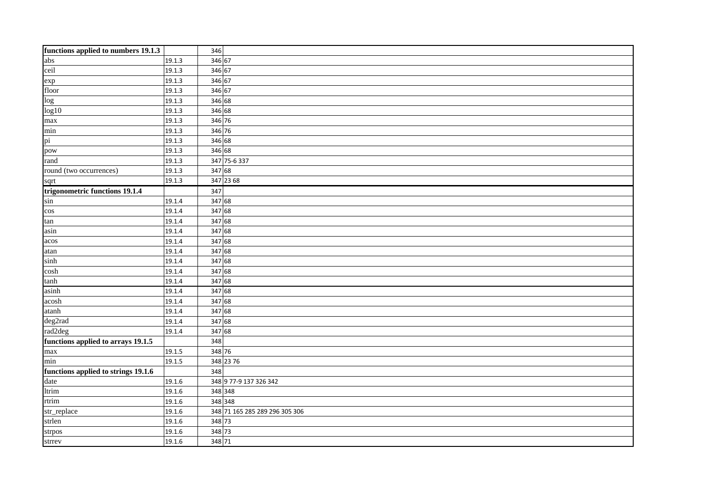| functions applied to numbers 19.1.3 |        | 346                            |  |  |
|-------------------------------------|--------|--------------------------------|--|--|
| abs                                 | 19.1.3 | 346 67                         |  |  |
| ceil                                | 19.1.3 | 346 67                         |  |  |
| exp                                 | 19.1.3 | 346 67                         |  |  |
| floor                               | 19.1.3 | 346 67                         |  |  |
| $\overline{\log}$                   | 19.1.3 | 346 68                         |  |  |
| log10                               | 19.1.3 | 346 68                         |  |  |
| max                                 | 19.1.3 | 346 76                         |  |  |
| min                                 | 19.1.3 | 346 76                         |  |  |
| pi                                  | 19.1.3 | 346 68                         |  |  |
| pow                                 | 19.1.3 | 346 68                         |  |  |
| rand                                | 19.1.3 | 347 75-6 337                   |  |  |
| round (two occurrences)             | 19.1.3 | 347 68                         |  |  |
| sqrt                                | 19.1.3 | 347 23 68                      |  |  |
| trigonometric functions 19.1.4      |        | 347                            |  |  |
| sin                                 | 19.1.4 | 347 68                         |  |  |
| $\cos$                              | 19.1.4 | 347 68                         |  |  |
| tan                                 | 19.1.4 | 347 68                         |  |  |
| asin                                | 19.1.4 | 347 68                         |  |  |
| acos                                | 19.1.4 | 347 68                         |  |  |
| atan                                | 19.1.4 | 347 68                         |  |  |
| sinh                                | 19.1.4 | 347 68                         |  |  |
| cosh                                | 19.1.4 | 347 68                         |  |  |
| tanh                                | 19.1.4 | 347 68                         |  |  |
| asinh                               | 19.1.4 | 347 68                         |  |  |
| acosh                               | 19.1.4 | 347 68                         |  |  |
| atanh                               | 19.1.4 | 347 68                         |  |  |
| deg2rad                             | 19.1.4 | 347 68                         |  |  |
| rad2deg                             | 19.1.4 | 347 68                         |  |  |
| functions applied to arrays 19.1.5  |        | 348                            |  |  |
| max                                 | 19.1.5 | 348 76                         |  |  |
| min                                 | 19.1.5 | 348 23 76                      |  |  |
| functions applied to strings 19.1.6 |        | 348                            |  |  |
| date                                | 19.1.6 | 348 9 77-9 137 326 342         |  |  |
| ltrim                               | 19.1.6 | 348 348                        |  |  |
| rtrim                               | 19.1.6 | 348 348                        |  |  |
| str_replace                         | 19.1.6 | 348 71 165 285 289 296 305 306 |  |  |
| strlen                              | 19.1.6 | 348 73                         |  |  |
| strpos                              | 19.1.6 | 348 73                         |  |  |
| strrev                              | 19.1.6 | 348 71                         |  |  |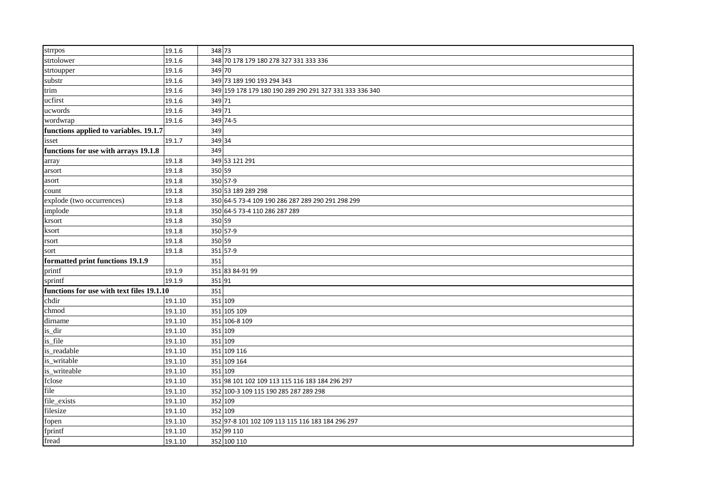| strrpos                                   | 19.1.6  | 348 73                                                  |  |
|-------------------------------------------|---------|---------------------------------------------------------|--|
| strtolower                                | 19.1.6  | 348 70 178 179 180 278 327 331 333 336                  |  |
| strtoupper                                | 19.1.6  | 349 70                                                  |  |
| substr                                    | 19.1.6  | 349 73 189 190 193 294 343                              |  |
| trim                                      | 19.1.6  | 349 159 178 179 180 190 289 290 291 327 331 333 336 340 |  |
| ucfirst                                   | 19.1.6  | 349 71                                                  |  |
| ucwords                                   | 19.1.6  | 349 71                                                  |  |
| wordwrap                                  | 19.1.6  | 349 74-5                                                |  |
| functions applied to variables. 19.1.7    |         | 349                                                     |  |
| isset                                     | 19.1.7  | 349 34                                                  |  |
| functions for use with arrays 19.1.8      |         | 349                                                     |  |
| array                                     | 19.1.8  | 349 53 121 291                                          |  |
| arsort                                    | 19.1.8  | 350 59                                                  |  |
| asort                                     | 19.1.8  | 350 57-9                                                |  |
| count                                     | 19.1.8  | 350 53 189 289 298                                      |  |
| explode (two occurrences)                 | 19.1.8  | 350 64-5 73-4 109 190 286 287 289 290 291 298 299       |  |
| implode                                   | 19.1.8  | 350 64-5 73-4 110 286 287 289                           |  |
| krsort                                    | 19.1.8  | 350 59                                                  |  |
| ksort                                     | 19.1.8  | 350 57-9                                                |  |
| rsort                                     | 19.1.8  | 350 59                                                  |  |
| sort                                      | 19.1.8  | 351 57-9                                                |  |
| formatted print functions 19.1.9          |         | 351                                                     |  |
| printf                                    | 19.1.9  | 351 83 84-91 99                                         |  |
| sprintf                                   | 19.1.9  | 35191                                                   |  |
| functions for use with text files 19.1.10 |         | 351                                                     |  |
| chdir                                     | 19.1.10 | 351 109                                                 |  |
| chmod                                     | 19.1.10 | 351 105 109                                             |  |
| dirname                                   | 19.1.10 | 351 106-8 109                                           |  |
| is_dir                                    | 19.1.10 | 351 109                                                 |  |
| is_file                                   | 19.1.10 | 351 109                                                 |  |
| is_readable                               | 19.1.10 | 351 109 116                                             |  |
| is_writable                               | 19.1.10 | 351 109 164                                             |  |
| is_writeable                              | 19.1.10 | 351 109                                                 |  |
| fclose                                    | 19.1.10 | 351 98 101 102 109 113 115 116 183 184 296 297          |  |
| file                                      | 19.1.10 | 352 100-3 109 115 190 285 287 289 298                   |  |
| file_exists                               | 19.1.10 | 352 109                                                 |  |
| filesize                                  | 19.1.10 | 352 109                                                 |  |
| fopen                                     | 19.1.10 | 352 97-8 101 102 109 113 115 116 183 184 296 297        |  |
| fprintf                                   | 19.1.10 | 352 99 110                                              |  |
| fread                                     | 19.1.10 | 352 100 110                                             |  |